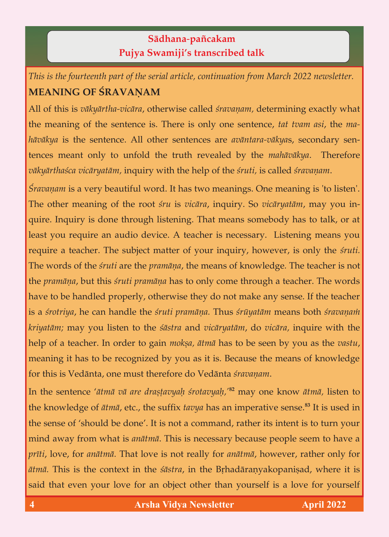## **Sädhana**-**païcakam Pujya Swamiji's transcribed talk**

*This is the fourteenth part of the serial article, continuation from March 2022 newsletter.*

All of this is vākyārtha-vicāra, otherwise called *śravaņam*, determining exactly what the meaning of the sentence is. There is only one sentence, tat tvam asi, the mahāvākya is the sentence. All other sentences are *avāntara-vākyas*, secondary sen*h* tences meant only to unfold the truth revealed by the *mahāvākya*. Therefore vākyārthaśca vicāryatām, inquiry with the help of the śruti, is called śravanam. *väkyärthaçca vicäryatäm,* inquiry with the help of the *çruti,* is called *çravaëam*.

*Śravaņam* is a very beautiful word. It has two meanings. One meaning is 'to listen'.<br>The other meaning of the root *śru* is *vicāra*, inquiry. So *vicāryatām*, may you inquire. Inquiry is done through listening. That means somebody has to talk, or at least you require an audio device. A teacher is necessary. Listening means you require a teacher. The subject matter of your inquiry, however, is only the *śruti*. The words of the *śruti* are the *pramāna*, the means of knowledge. The teacher is not the *pramāņa*, but this *śruti pramāņa* has to only come through a teacher. The words have to be handled properly, otherwise they do not make any sense. If the teacher is a *śrotriya*, he can handle the *śruti pramāna*. Thus *śrūyatām* means both *śravanam kriyatām;* may you listen to the *śāstra* and *vicāryatām*, do *vicāra*, inquire with the *krigata; help of a teacher. In order to gain <i>mokṣa, ātmā has to be seen by you as the vastu*, help of a teacher. In order to gain *mokña, ätmä* has to be seen by you as the *vastu*,  $\sigma$  is that to be recognized by you as it is a mean it is it is it is  $\sigma$ . for this is Vedänta, one must therefore do Vedänta *çravaëam*.

In the sentence '*ātmā vā are drastavyaḥ śrotavyaḥ*,'<sup>82</sup> may one know *ātmā*, listen to the knowledge of *ätmä*, etc., the suffix *tavya* has an imperative sense.**<sup>83</sup>** It is used in the sense of 'should be done'. It is not a command, rather its intent is to turn your mind away from what is *anātmā*. This is necessary because people seem to have a mind away from what is *anätmä*. This is necessary because people seem to have a *préti*, love, for *anätmä.* That love is not really for *anätmä*, however, rather only for *ätmä.* This is the context in the *çästra*, in the Båhadäraëyakopaniñad, where it is said that even your love for an object other than yourself is a love for yourself